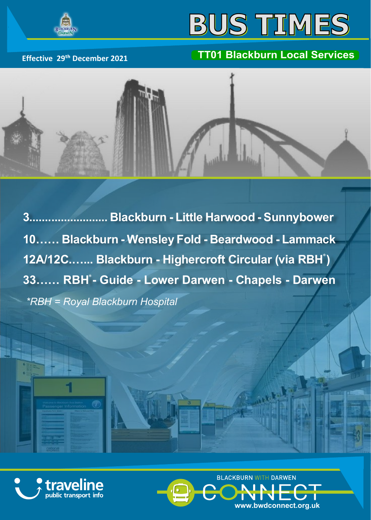

## **BUS TIMES**

## **Effective 29th December 2021 TT01 Blackburn Local Services**



**3......................... Blackburn - Little Harwood - Sunnybower 10…… Blackburn - Wensley Fold - Beardwood - Lammack** 12A/12C….... Blackburn - Highercroft Circular (via RBH<sup>\*</sup>) 33…… RBH<sup>\*</sup>- Guide - Lower Darwen - Chapels - Darwen *\*RBH = Royal Blackburn Hospital*





A Maria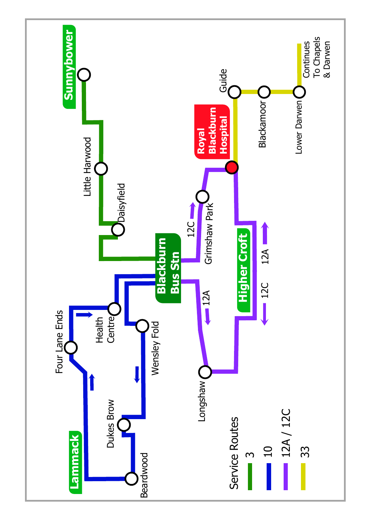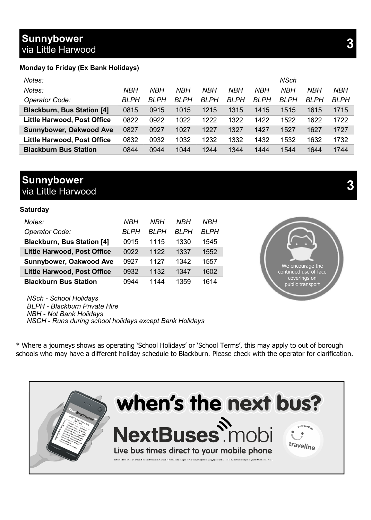## **Sunnybower** via Little Harwood **3**

#### **Monday to Friday (Ex Bank Holidays)**

| Notes:                            |             |              |              |              |              |              | NSch         |              |              |
|-----------------------------------|-------------|--------------|--------------|--------------|--------------|--------------|--------------|--------------|--------------|
| Notes:                            | <b>NBH</b>  | <b>NBH</b>   | <b>NBH</b>   | <b>NBH</b>   | <b>NBH</b>   | NBH          | NBH          | NBH          | NBH          |
| Operator Code:                    | <b>BLPH</b> | <b>BI PH</b> | <b>BI PH</b> | <b>BI PH</b> | <b>BI PH</b> | <b>BI PH</b> | <b>BI PH</b> | <b>BI PH</b> | <b>BI PH</b> |
| <b>Blackburn, Bus Station [4]</b> | 0815        | 0915         | 1015         | 1215         | 1315         | 1415         | 1515         | 1615         | 1715         |
| Little Harwood, Post Office       | 0822        | 0922         | 1022         | 1222         | 1322         | 1422         | 1522         | 1622         | 1722         |
| Sunnybower, Oakwood Ave           | 0827        | 0927         | 1027         | 1227         | 1327         | 1427         | 1527         | 1627         | 1727         |
| Little Harwood, Post Office       | 0832        | 0932         | 1032         | 1232         | 1332         | 1432         | 1532         | 1632         | 1732         |
| <b>Blackburn Bus Station</b>      | 0844        | 0944         | 1044         | 1244         | 1344         | 1444         | 1544         | 1644         | 1744         |

## **Sunnybower** via Little Harwood **3**

#### **Saturday**

| Notes:                             | <b>NBH</b> | NRH   | NRH   | <b>NBH</b>   |
|------------------------------------|------------|-------|-------|--------------|
| Operator Code:                     | BI PH      | RI PH | RI PH | <b>BI PH</b> |
| <b>Blackburn, Bus Station [4]</b>  | 0915       | 1115  | 1330  | 1545         |
| Little Harwood, Post Office        | 0922       | 1122  | 1337  | 1552         |
| Sunnybower, Oakwood Ave            | 0927       | 1127  | 1342  | 1557         |
| <b>Little Harwood, Post Office</b> | 0932       | 1132  | 1347  | 1602         |
| <b>Blackburn Bus Station</b>       | 0944       | 1144  | 1359  | 1614         |

*NSch - School Holidays BLPH - Blackburn Private Hire NBH - Not Bank Holidays NSCH - Runs during school holidays except Bank Holidays*

\* Where a journeys shows as operating 'School Holidays' or 'School Terms', this may apply to out of borough schools who may have a different holiday schedule to Blackburn. Please check with the operator for clarification.



We encourage the continued use of face coverings on public transport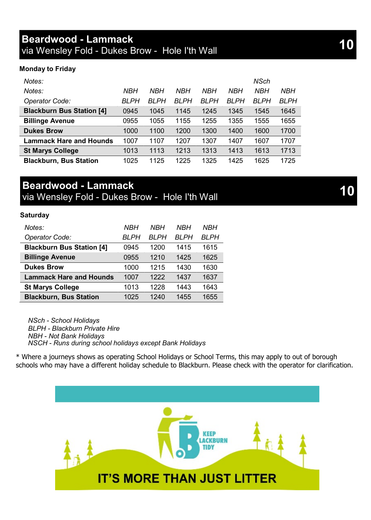#### **Monday to Friday**

| Notes:                           |             |            |            |      |            | NSch |            |
|----------------------------------|-------------|------------|------------|------|------------|------|------------|
| Notes:                           | NBH         | <b>NBH</b> | <b>NBH</b> | NBH  | <b>NBH</b> | NBH  | <b>NBH</b> |
| Operator Code:                   | <b>BLPH</b> | BLPH       | BLPH       | BLPH | BLPH       | BLPH | BLPH       |
| <b>Blackburn Bus Station [4]</b> | 0945        | 1045       | 1145       | 1245 | 1345       | 1545 | 1645       |
| <b>Billinge Avenue</b>           | 0955        | 1055       | 1155       | 1255 | 1355       | 1555 | 1655       |
| <b>Dukes Brow</b>                | 1000        | 1100       | 1200       | 1300 | 1400       | 1600 | 1700       |
| <b>Lammack Hare and Hounds</b>   | 1007        | 1107       | 1207       | 1307 | 1407       | 1607 | 1707       |
| <b>St Marys College</b>          | 1013        | 1113       | 1213       | 1313 | 1413       | 1613 | 1713       |
| <b>Blackburn, Bus Station</b>    | 1025        | 1125       | 1225       | 1325 | 1425       | 1625 | 1725       |

## **Beardwood - Lammack**

via Wensley Fold - Dukes Brow - Hole I'th Wall

#### **Saturday**

| Notes:                           | NBH   | NBH   | NBH   | NBH  |
|----------------------------------|-------|-------|-------|------|
| Operator Code:                   | BI PH | BI PH | BI PH | BLPH |
| <b>Blackburn Bus Station [4]</b> | 0945  | 1200  | 1415  | 1615 |
| <b>Billinge Avenue</b>           | 0955  | 1210  | 1425  | 1625 |
| <b>Dukes Brow</b>                | 1000  | 1215  | 1430  | 1630 |
| <b>Lammack Hare and Hounds</b>   | 1007  | 1222  | 1437  | 1637 |
| <b>St Marys College</b>          | 1013  | 1228  | 1443  | 1643 |
| <b>Blackburn, Bus Station</b>    | 1025  | 1240  | 1455  | 1655 |

*NSch - School Holidays BLPH - Blackburn Private Hire NBH - Not Bank Holidays NSCH - Runs during school holidays except Bank Holidays*

\* Where a journeys shows as operating School Holidays or School Terms, this may apply to out of borough schools who may have a different holiday schedule to Blackburn. Please check with the operator for clarification.

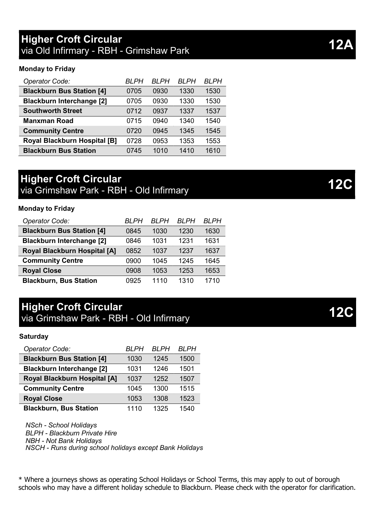## **Higher Croft Circular** via Old Infirmary - RBH - Grimshaw Park

#### **Monday to Friday**

| Operator Code:                      | BI PH | <b>BI PH</b> | <b>BI PH</b> | BI PH |
|-------------------------------------|-------|--------------|--------------|-------|
| <b>Blackburn Bus Station [4]</b>    | 0705  | 0930         | 1330         | 1530  |
| <b>Blackburn Interchange [2]</b>    | 0705  | 0930         | 1330         | 1530  |
| <b>Southworth Street</b>            | 0712  | 0937         | 1337         | 1537  |
| <b>Manxman Road</b>                 | 0715  | 0940         | 1340         | 1540  |
| <b>Community Centre</b>             | 0720  | 0945         | 1345         | 1545  |
| <b>Royal Blackburn Hospital [B]</b> | 0728  | 0953         | 1353         | 1553  |
| <b>Blackburn Bus Station</b>        | 0745  | 1010         | 1410         | 1610  |

## **Higher Croft Circular** via Grimshaw Park - RBH - Old Infirmary

#### **Monday to Friday**

| Operator Code:                   | BI PH | RI PH | BI PH | BI PH |
|----------------------------------|-------|-------|-------|-------|
| <b>Blackburn Bus Station [4]</b> | 0845  | 1030  | 1230  | 1630  |
| <b>Blackburn Interchange [2]</b> | 0846  | 1031  | 1231  | 1631  |
| Royal Blackburn Hospital [A]     | 0852  | 1037  | 1237  | 1637  |
| <b>Community Centre</b>          | 0900  | 1045  | 1245  | 1645  |
| <b>Royal Close</b>               | 0908  | 1053  | 1253  | 1653  |
| <b>Blackburn, Bus Station</b>    | 0925  | 1110  | 1310  | 1710  |

## **Higher Croft Circular** via Grimshaw Park - RBH - Old Infirmary

#### **Saturday**

| Operator Code:                   | <b>BI PH</b> | BI PH | <b>BI PH</b> |
|----------------------------------|--------------|-------|--------------|
| <b>Blackburn Bus Station [4]</b> | 1030         | 1245  | 1500         |
| <b>Blackburn Interchange [2]</b> | 1031         | 1246  | 1501         |
| Royal Blackburn Hospital [A]     | 1037         | 1252  | 1507         |
| <b>Community Centre</b>          | 1045         | 1300  | 1515         |
| <b>Royal Close</b>               | 1053         | 1308  | 1523         |
| <b>Blackburn, Bus Station</b>    | 1110         | 1325  | 1540         |

*NSch - School Holidays BLPH - Blackburn Private Hire NBH - Not Bank Holidays NSCH - Runs during school holidays except Bank Holidays*

\* Where a journeys shows as operating School Holidays or School Terms, this may apply to out of borough schools who may have a different holiday schedule to Blackburn. Please check with the operator for clarification.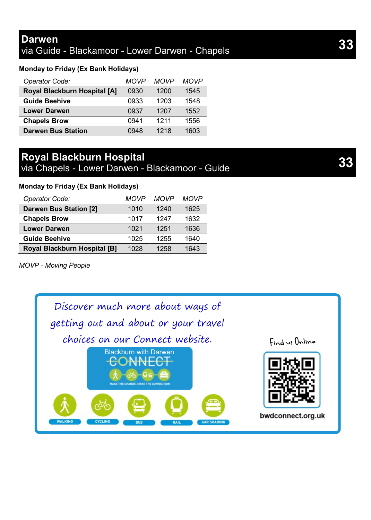#### **Monday to Friday (Ex Bank Holidays)**

| Operator Code:               | MOVP | MOVP | <b>MOVP</b> |
|------------------------------|------|------|-------------|
| Royal Blackburn Hospital [A] | 0930 | 1200 | 1545        |
| <b>Guide Beehive</b>         | 0933 | 1203 | 1548        |
| <b>Lower Darwen</b>          | 0937 | 1207 | 1552        |
| <b>Chapels Brow</b>          | 0941 | 1211 | 1556        |
| <b>Darwen Bus Station</b>    | 0948 | 1218 | 1603        |

## **Royal Blackburn Hospital**

via Chapels - Lower Darwen - Blackamoor - Guide **33**

#### **Monday to Friday (Ex Bank Holidays)**

| Operator Code:                      | MOVP | <b>MOVP</b> | <b>MOVP</b> |
|-------------------------------------|------|-------------|-------------|
| Darwen Bus Station [2]              | 1010 | 1240        | 1625        |
| <b>Chapels Brow</b>                 | 1017 | 1247        | 1632        |
| <b>Lower Darwen</b>                 | 1021 | 1251        | 1636        |
| <b>Guide Beehive</b>                | 1025 | 1255        | 1640        |
| <b>Royal Blackburn Hospital [B]</b> | 1028 | 1258        | 1643        |

*MOVP - Moving People*

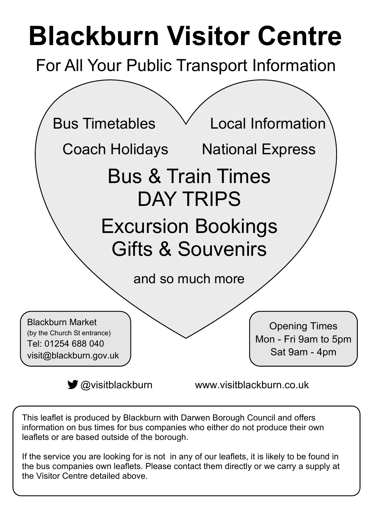# **Blackburn Visitor Centre**

For All Your Public Transport Information



This leaflet is produced by Blackburn with Darwen Borough Council and offers information on bus times for bus companies who either do not produce their own leaflets or are based outside of the borough.

If the service you are looking for is not in any of our leaflets, it is likely to be found in the bus companies own leaflets. Please contact them directly or we carry a supply at the Visitor Centre detailed above.